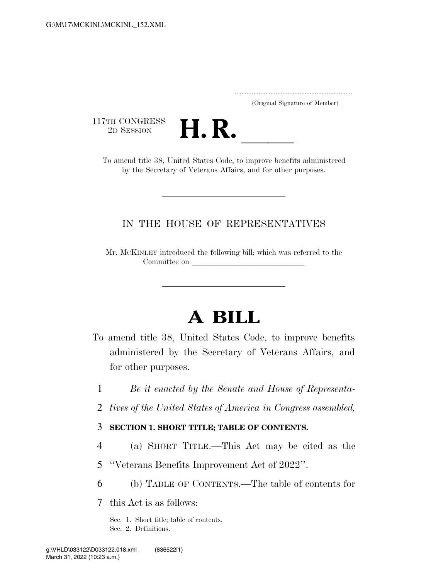.....................................................................

(Original Signature of Member)

117TH CONGRESS<br>2D SESSION



TH CONGRESS<br>
2D SESSION<br>
To amend title 38, United States Code, to improve benefits administered by the Secretary of Veterans Affairs, and for other purposes.

## IN THE HOUSE OF REPRESENTATIVES

Mr. MCKINLEY introduced the following bill; which was referred to the Committee on

# **A BILL**

- To amend title 38, United States Code, to improve benefits administered by the Secretary of Veterans Affairs, and for other purposes.
	- 1 *Be it enacted by the Senate and House of Representa-*
	- 2 *tives of the United States of America in Congress assembled,*

#### 3 **SECTION 1. SHORT TITLE; TABLE OF CONTENTS.**

- 4 (a) SHORT TITLE.—This Act may be cited as the
- 5 ''Veterans Benefits Improvement Act of 2022''.
- 6 (b) TABLE OF CONTENTS.—The table of contents for

7 this Act is as follows:

Sec. 1. Short title; table of contents. Sec. 2. Definitions.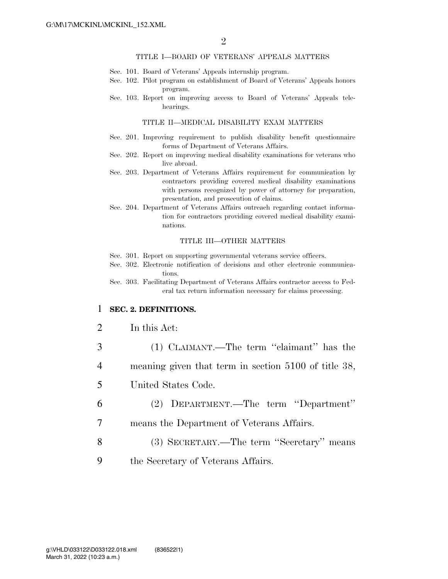#### TITLE I—BOARD OF VETERANS' APPEALS MATTERS

- Sec. 101. Board of Veterans' Appeals internship program.
- Sec. 102. Pilot program on establishment of Board of Veterans' Appeals honors program.
- Sec. 103. Report on improving access to Board of Veterans' Appeals telehearings.

#### TITLE II—MEDICAL DISABILITY EXAM MATTERS

- Sec. 201. Improving requirement to publish disability benefit questionnaire forms of Department of Veterans Affairs.
- Sec. 202. Report on improving medical disability examinations for veterans who live abroad.
- Sec. 203. Department of Veterans Affairs requirement for communication by contractors providing covered medical disability examinations with persons recognized by power of attorney for preparation, presentation, and prosecution of claims.
- Sec. 204. Department of Veterans Affairs outreach regarding contact information for contractors providing covered medical disability examinations.

#### TITLE III—OTHER MATTERS

- Sec. 301. Report on supporting governmental veterans service officers.
- Sec. 302. Electronic notification of decisions and other electronic communications.
- Sec. 303. Facilitating Department of Veterans Affairs contractor access to Federal tax return information necessary for claims processing.

#### 1 **SEC. 2. DEFINITIONS.**

#### 2 In this Act:

- 3 (1) CLAIMANT.—The term ''claimant'' has the
- 4 meaning given that term in section 5100 of title 38,
- 5 United States Code.
- 6 (2) DEPARTMENT.—The term ''Department''
- 7 means the Department of Veterans Affairs.
- 8 (3) SECRETARY.—The term ''Secretary'' means
- 9 the Secretary of Veterans Affairs.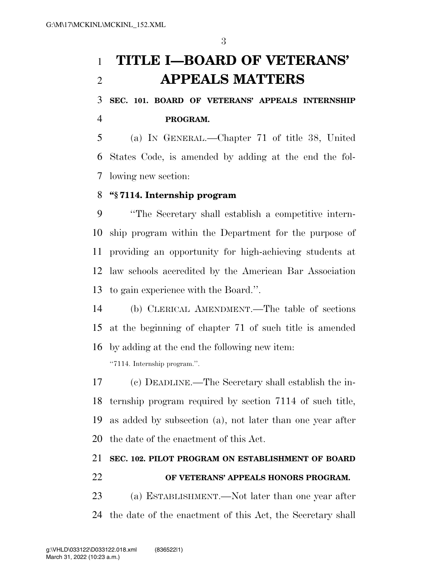# **TITLE I—BOARD OF VETERANS' APPEALS MATTERS**

 **SEC. 101. BOARD OF VETERANS' APPEALS INTERNSHIP PROGRAM.** 

 (a) IN GENERAL.—Chapter 71 of title 38, United States Code, is amended by adding at the end the fol-lowing new section:

## **''§ 7114. Internship program**

 ''The Secretary shall establish a competitive intern- ship program within the Department for the purpose of providing an opportunity for high-achieving students at law schools accredited by the American Bar Association to gain experience with the Board.''.

 (b) CLERICAL AMENDMENT.—The table of sections at the beginning of chapter 71 of such title is amended by adding at the end the following new item:

''7114. Internship program.''.

 (c) DEADLINE.—The Secretary shall establish the in- ternship program required by section 7114 of such title, as added by subsection (a), not later than one year after the date of the enactment of this Act.

# **SEC. 102. PILOT PROGRAM ON ESTABLISHMENT OF BOARD OF VETERANS' APPEALS HONORS PROGRAM.**

 (a) ESTABLISHMENT.—Not later than one year after the date of the enactment of this Act, the Secretary shall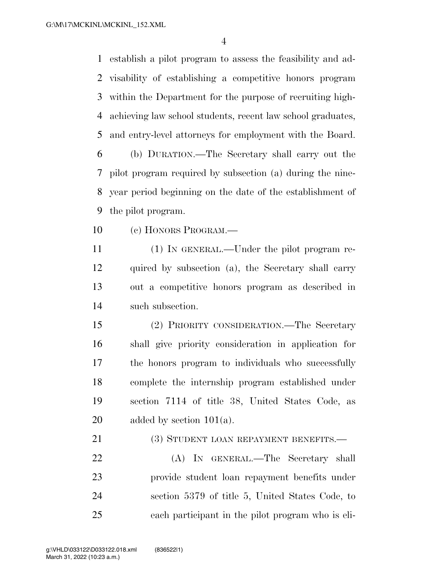establish a pilot program to assess the feasibility and ad- visability of establishing a competitive honors program within the Department for the purpose of recruiting high- achieving law school students, recent law school graduates, and entry-level attorneys for employment with the Board.

 (b) DURATION.—The Secretary shall carry out the pilot program required by subsection (a) during the nine- year period beginning on the date of the establishment of the pilot program.

(c) HONORS PROGRAM.—

 (1) IN GENERAL.—Under the pilot program re- quired by subsection (a), the Secretary shall carry out a competitive honors program as described in such subsection.

 (2) PRIORITY CONSIDERATION.—The Secretary shall give priority consideration in application for the honors program to individuals who successfully complete the internship program established under section 7114 of title 38, United States Code, as 20 added by section  $101(a)$ .

21 (3) STUDENT LOAN REPAYMENT BENEFITS.—

 (A) IN GENERAL.—The Secretary shall provide student loan repayment benefits under section 5379 of title 5, United States Code, to each participant in the pilot program who is eli-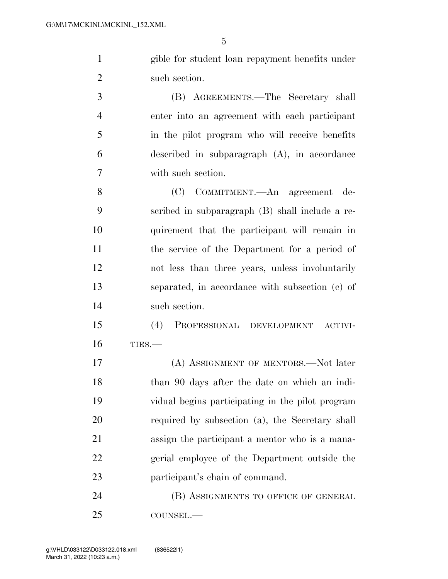gible for student loan repayment benefits under such section.

 (B) AGREEMENTS.—The Secretary shall enter into an agreement with each participant in the pilot program who will receive benefits described in subparagraph (A), in accordance with such section.

 (C) COMMITMENT.—An agreement de- scribed in subparagraph (B) shall include a re- quirement that the participant will remain in the service of the Department for a period of not less than three years, unless involuntarily separated, in accordance with subsection (c) of such section.

 (4) PROFESSIONAL DEVELOPMENT ACTIVI-TIES.—

 (A) ASSIGNMENT OF MENTORS.—Not later than 90 days after the date on which an indi- vidual begins participating in the pilot program required by subsection (a), the Secretary shall assign the participant a mentor who is a mana- gerial employee of the Department outside the participant's chain of command.

24 (B) ASSIGNMENTS TO OFFICE OF GENERAL COUNSEL.—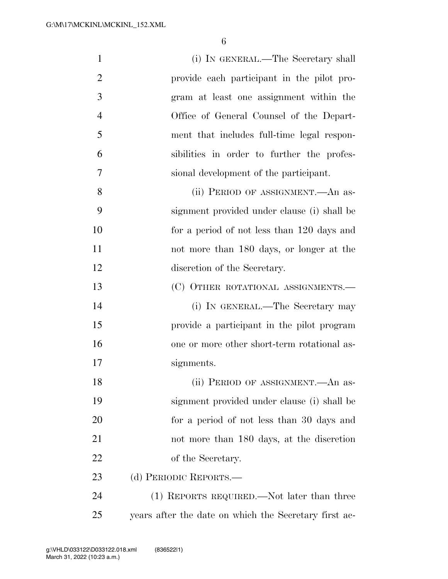| $\mathbf{1}$   | (i) IN GENERAL.—The Secretary shall                   |
|----------------|-------------------------------------------------------|
| $\overline{2}$ | provide each participant in the pilot pro-            |
| 3              | gram at least one assignment within the               |
| $\overline{4}$ | Office of General Counsel of the Depart-              |
| 5              | ment that includes full-time legal respon-            |
| 6              | sibilities in order to further the profes-            |
| 7              | sional development of the participant.                |
| 8              | (ii) PERIOD OF ASSIGNMENT.—An as-                     |
| 9              | signment provided under clause (i) shall be           |
| 10             | for a period of not less than 120 days and            |
| 11             | not more than 180 days, or longer at the              |
| 12             | discretion of the Secretary.                          |
| 13             | (C) OTHER ROTATIONAL ASSIGNMENTS.-                    |
| 14             | (i) IN GENERAL.—The Secretary may                     |
| 15             | provide a participant in the pilot program            |
| 16             | one or more other short-term rotational as-           |
| 17             | signments.                                            |
| 18             | (ii) PERIOD OF ASSIGNMENT. An as-                     |
| 19             | signment provided under clause (i) shall be           |
| 20             | for a period of not less than 30 days and             |
| 21             | not more than 180 days, at the discretion             |
| 22             | of the Secretary.                                     |
| 23             | (d) PERIODIC REPORTS.—                                |
| 24             | (1) REPORTS REQUIRED.—Not later than three            |
| 25             | years after the date on which the Secretary first ac- |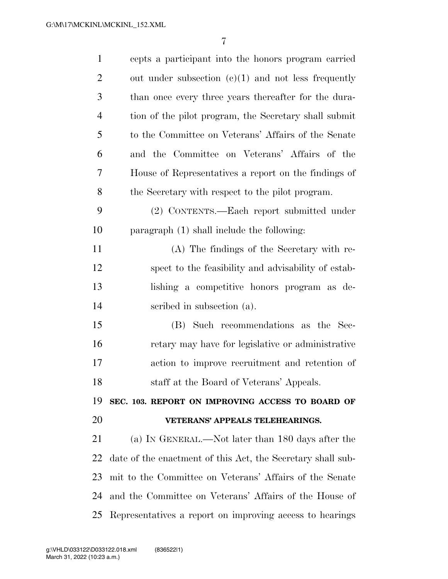| $\mathbf{1}$   | cepts a participant into the honors program carried         |
|----------------|-------------------------------------------------------------|
| $\overline{2}$ | out under subsection $(c)(1)$ and not less frequently       |
| 3              | than once every three years thereafter for the dura-        |
| $\overline{4}$ | tion of the pilot program, the Secretary shall submit       |
| 5              | to the Committee on Veterans' Affairs of the Senate         |
| 6              | and the Committee on Veterans' Affairs of the               |
| 7              | House of Representatives a report on the findings of        |
| 8              | the Secretary with respect to the pilot program.            |
| 9              | (2) CONTENTS.—Each report submitted under                   |
| 10             | paragraph $(1)$ shall include the following:                |
| 11             | (A) The findings of the Secretary with re-                  |
| 12             | spect to the feasibility and advisability of estab-         |
| 13             | lishing a competitive honors program as de-                 |
| 14             | scribed in subsection (a).                                  |
| 15             | (B) Such recommendations as the Sec-                        |
| 16             | retary may have for legislative or administrative           |
| 17             | action to improve recruitment and retention of              |
| 18             | staff at the Board of Veterans' Appeals.                    |
| 19             |                                                             |
|                | SEC. 103. REPORT ON IMPROVING ACCESS TO BOARD OF            |
| 20             | VETERANS' APPEALS TELEHEARINGS.                             |
| 21             | (a) IN GENERAL.—Not later than 180 days after the           |
| 22             | date of the enactment of this Act, the Secretary shall sub- |
| 23             | mit to the Committee on Veterans' Affairs of the Senate     |
| 24             | and the Committee on Veterans' Affairs of the House of      |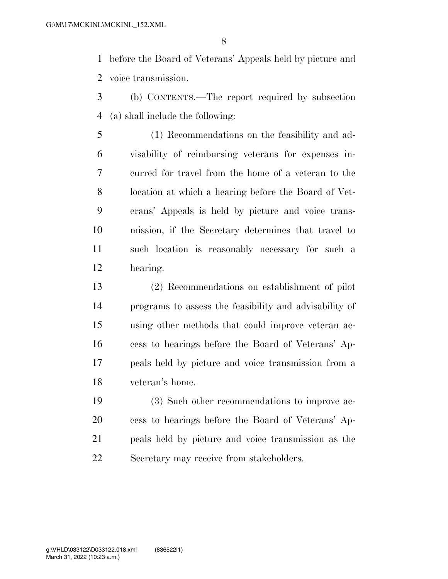before the Board of Veterans' Appeals held by picture and voice transmission.

- (b) CONTENTS.—The report required by subsection (a) shall include the following:
- (1) Recommendations on the feasibility and ad- visability of reimbursing veterans for expenses in- curred for travel from the home of a veteran to the location at which a hearing before the Board of Vet- erans' Appeals is held by picture and voice trans- mission, if the Secretary determines that travel to such location is reasonably necessary for such a hearing.
- (2) Recommendations on establishment of pilot programs to assess the feasibility and advisability of using other methods that could improve veteran ac- cess to hearings before the Board of Veterans' Ap- peals held by picture and voice transmission from a veteran's home.
- (3) Such other recommendations to improve ac- cess to hearings before the Board of Veterans' Ap- peals held by picture and voice transmission as the Secretary may receive from stakeholders.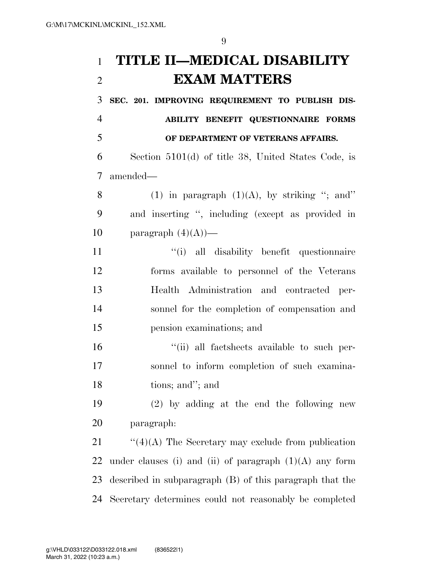**TITLE II—MEDICAL DISABILITY EXAM MATTERS** 

 **SEC. 201. IMPROVING REQUIREMENT TO PUBLISH DIS- ABILITY BENEFIT QUESTIONNAIRE FORMS OF DEPARTMENT OF VETERANS AFFAIRS.**  Section 5101(d) of title 38, United States Code, is amended— 8 (1) in paragraph  $(1)(A)$ , by striking "; and" and inserting '', including (except as provided in 10 paragraph  $(4)(A)$ — ''(i) all disability benefit questionnaire forms available to personnel of the Veterans Health Administration and contracted per- sonnel for the completion of compensation and pension examinations; and  $\frac{1}{10}$  all factsheets available to such per- sonnel to inform completion of such examina- tions; and''; and (2) by adding at the end the following new paragraph:  $\frac{1}{2}$  (4)(A) The Secretary may exclude from publication 22 under clauses (i) and (ii) of paragraph  $(1)(A)$  any form

Secretary determines could not reasonably be completed

described in subparagraph (B) of this paragraph that the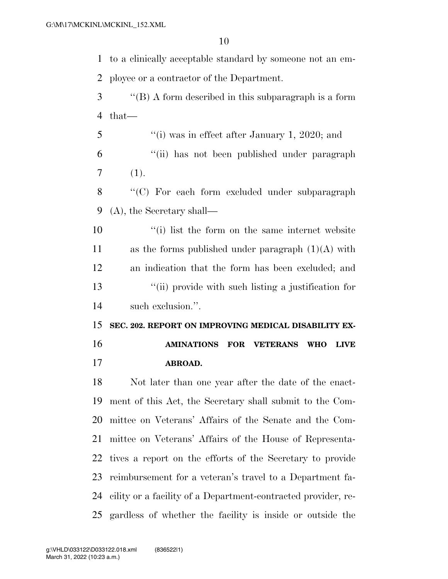to a clinically acceptable standard by someone not an em- ployee or a contractor of the Department. ''(B) A form described in this subparagraph is a form that— ''(i) was in effect after January 1, 2020; and

 ''(ii) has not been published under paragraph  $7(1).$ 

8 "'(C) For each form excluded under subparagraph (A), the Secretary shall—

 ''(i) list the form on the same internet website 11 as the forms published under paragraph  $(1)(A)$  with an indication that the form has been excluded; and ''(ii) provide with such listing a justification for such exclusion.''.

 **SEC. 202. REPORT ON IMPROVING MEDICAL DISABILITY EX- AMINATIONS FOR VETERANS WHO LIVE ABROAD.** 

 Not later than one year after the date of the enact- ment of this Act, the Secretary shall submit to the Com- mittee on Veterans' Affairs of the Senate and the Com- mittee on Veterans' Affairs of the House of Representa- tives a report on the efforts of the Secretary to provide reimbursement for a veteran's travel to a Department fa- cility or a facility of a Department-contracted provider, re-gardless of whether the facility is inside or outside the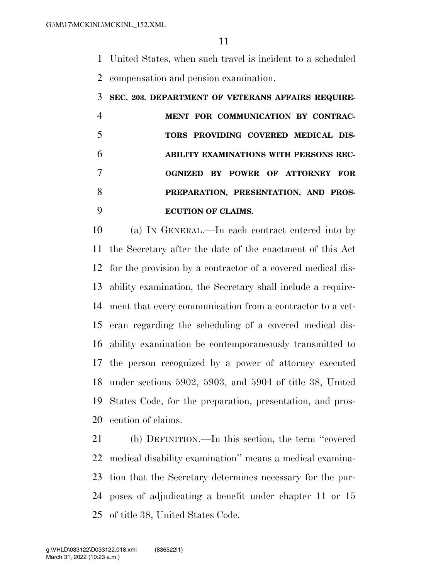United States, when such travel is incident to a scheduled compensation and pension examination.

## **SEC. 203. DEPARTMENT OF VETERANS AFFAIRS REQUIRE-**

|    | MENT FOR COMMUNICATION BY CONTRAC-     |
|----|----------------------------------------|
| -5 | TORS PROVIDING COVERED MEDICAL DIS-    |
| 6  | ABILITY EXAMINATIONS WITH PERSONS REC- |
|    | OGNIZED BY POWER OF ATTORNEY FOR       |
| 8  | PREPARATION, PRESENTATION, AND PROS-   |
|    | <b>ECUTION OF CLAIMS.</b>              |

 (a) IN GENERAL.—In each contract entered into by the Secretary after the date of the enactment of this Act for the provision by a contractor of a covered medical dis- ability examination, the Secretary shall include a require- ment that every communication from a contractor to a vet- eran regarding the scheduling of a covered medical dis- ability examination be contemporaneously transmitted to the person recognized by a power of attorney executed under sections 5902, 5903, and 5904 of title 38, United States Code, for the preparation, presentation, and pros-ecution of claims.

 (b) DEFINITION.—In this section, the term ''covered medical disability examination'' means a medical examina- tion that the Secretary determines necessary for the pur- poses of adjudicating a benefit under chapter 11 or 15 of title 38, United States Code.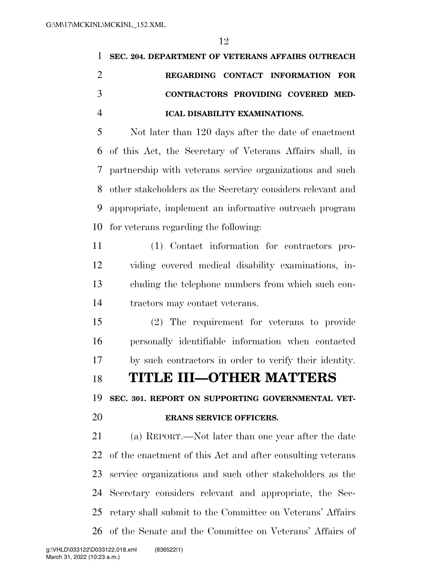| 1              | SEC. 204. DEPARTMENT OF VETERANS AFFAIRS OUTREACH          |
|----------------|------------------------------------------------------------|
| 2              | REGARDING CONTACT INFORMATION FOR                          |
| 3              | CONTRACTORS PROVIDING COVERED MED-                         |
| $\overline{4}$ | <b>ICAL DISABILITY EXAMINATIONS.</b>                       |
| 5              | Not later than 120 days after the date of enactment        |
|                | 6 of this Act, the Secretary of Veterans Affairs shall, in |
|                | 7 partnership with veterans service organizations and such |
| 8              | other stakeholders as the Secretary considers relevant and |
| 9              | appropriate, implement an informative outreach program     |
|                | 10 for veterans regarding the following:                   |

 (1) Contact information for contractors pro- viding covered medical disability examinations, in- cluding the telephone numbers from which such con-tractors may contact veterans.

 (2) The requirement for veterans to provide personally identifiable information when contacted by such contractors in order to verify their identity.

**TITLE III—OTHER MATTERS** 

**SEC. 301. REPORT ON SUPPORTING GOVERNMENTAL VET-**

#### **ERANS SERVICE OFFICERS.**

 (a) REPORT.—Not later than one year after the date of the enactment of this Act and after consulting veterans service organizations and such other stakeholders as the Secretary considers relevant and appropriate, the Sec- retary shall submit to the Committee on Veterans' Affairs of the Senate and the Committee on Veterans' Affairs of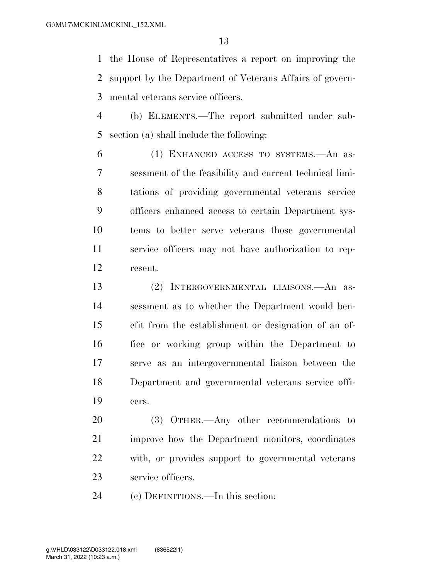the House of Representatives a report on improving the support by the Department of Veterans Affairs of govern-mental veterans service officers.

 (b) ELEMENTS.—The report submitted under sub-section (a) shall include the following:

 (1) ENHANCED ACCESS TO SYSTEMS.—An as- sessment of the feasibility and current technical limi- tations of providing governmental veterans service officers enhanced access to certain Department sys- tems to better serve veterans those governmental service officers may not have authorization to rep-resent.

 (2) INTERGOVERNMENTAL LIAISONS.—An as- sessment as to whether the Department would ben- efit from the establishment or designation of an of- fice or working group within the Department to serve as an intergovernmental liaison between the Department and governmental veterans service offi-cers.

 (3) OTHER.—Any other recommendations to improve how the Department monitors, coordinates with, or provides support to governmental veterans service officers.

(c) DEFINITIONS.—In this section: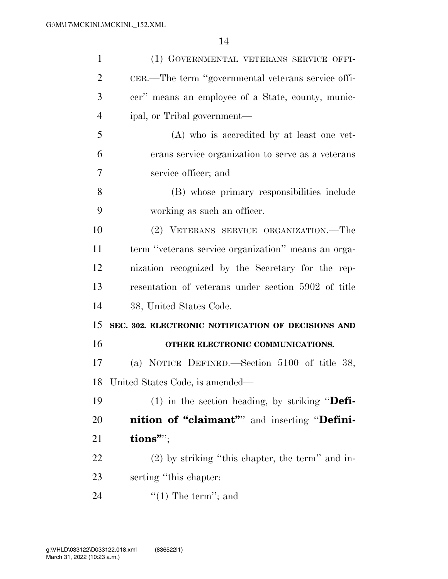| $\mathbf{1}$   | (1) GOVERNMENTAL VETERANS SERVICE OFFI-             |
|----------------|-----------------------------------------------------|
| $\overline{2}$ | CER.—The term "governmental veterans service offi-  |
| 3              | cer" means an employee of a State, county, munic-   |
| $\overline{4}$ | ipal, or Tribal government—                         |
| 5              | (A) who is accredited by at least one vet-          |
| 6              | erans service organization to serve as a veterans   |
| 7              | service officer; and                                |
| 8              | (B) whose primary responsibilities include          |
| 9              | working as such an officer.                         |
| 10             | (2) VETERANS SERVICE ORGANIZATION.—The              |
| 11             | term "veterans service organization" means an orga- |
| 12             | nization recognized by the Secretary for the rep-   |
|                |                                                     |
| 13             | resentation of veterans under section 5902 of title |
| 14             | 38, United States Code.                             |
| 15             | SEC. 302. ELECTRONIC NOTIFICATION OF DECISIONS AND  |
| 16             | OTHER ELECTRONIC COMMUNICATIONS.                    |
| 17             | (a) NOTICE DEFINED.—Section $5100$ of title 38,     |
| 18             | United States Code, is amended—                     |
| 19             | $(1)$ in the section heading, by striking "Defi-    |
| 20             | <b>nition of "claimant"</b> and inserting "Defini-  |
| 21             | tions"";                                            |
| <u>22</u>      | $(2)$ by striking "this chapter, the term" and in-  |
| 23             | serting "this chapter:                              |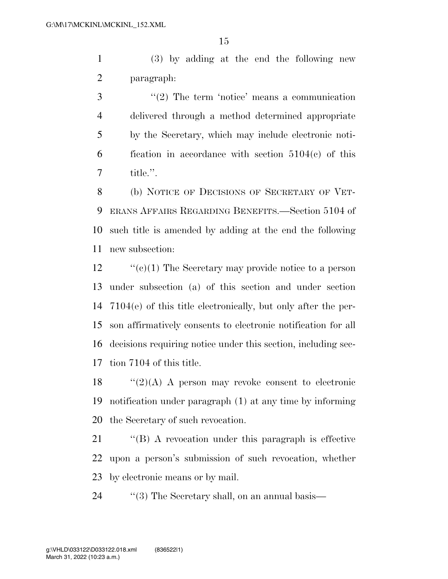(3) by adding at the end the following new paragraph:

 ''(2) The term 'notice' means a communication delivered through a method determined appropriate by the Secretary, which may include electronic noti- fication in accordance with section 5104(c) of this title.''.

 (b) NOTICE OF DECISIONS OF SECRETARY OF VET- ERANS AFFAIRS REGARDING BENEFITS.—Section 5104 of such title is amended by adding at the end the following new subsection:

 $\cdot$  (c)(1) The Secretary may provide notice to a person under subsection (a) of this section and under section 7104(e) of this title electronically, but only after the per- son affirmatively consents to electronic notification for all decisions requiring notice under this section, including sec-tion 7104 of this title.

18  $\frac{1}{2}(2)$  (A) A person may revoke consent to electronic notification under paragraph (1) at any time by informing the Secretary of such revocation.

 ''(B) A revocation under this paragraph is effective upon a person's submission of such revocation, whether by electronic means or by mail.

24  $\langle$  (3) The Secretary shall, on an annual basis—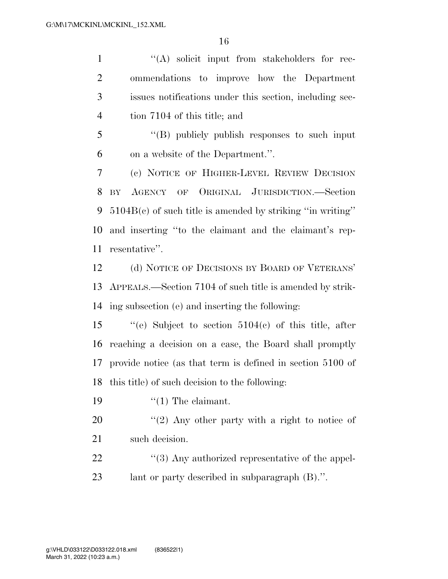1 ''(A) solicit input from stakeholders for rec- ommendations to improve how the Department issues notifications under this section, including sec- tion 7104 of this title; and ''(B) publicly publish responses to such input on a website of the Department.''. (c) NOTICE OF HIGHER-LEVEL REVIEW DECISION BY AGENCY OF ORIGINAL JURISDICTION.—Section 5104B(c) of such title is amended by striking ''in writing'' and inserting ''to the claimant and the claimant's rep- resentative''. (d) NOTICE OF DECISIONS BY BOARD OF VETERANS' APPEALS.—Section 7104 of such title is amended by strik- ing subsection (e) and inserting the following: ''(e) Subject to section 5104(c) of this title, after reaching a decision on a case, the Board shall promptly provide notice (as that term is defined in section 5100 of this title) of such decision to the following:  $\frac{1}{2}$  The claimant.  $\frac{1}{2}$   $\pi$   $(2)$  Any other party with a right to notice of such decision.  $\frac{4}{3}$  Any authorized representative of the appel-lant or party described in subparagraph (B).''.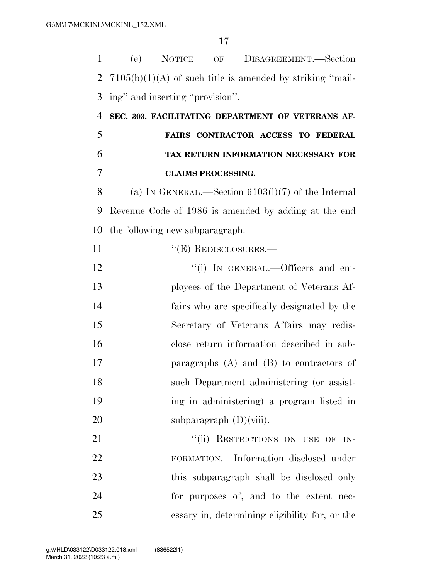| $\mathbf{1}$   | (e)                                                         | NOTICE                      |  | OF DISAGREEMENT.—Section                             |
|----------------|-------------------------------------------------------------|-----------------------------|--|------------------------------------------------------|
| $\overline{2}$ | $7105(b)(1)(A)$ of such title is amended by striking "mail- |                             |  |                                                      |
| 3              | ing" and inserting "provision".                             |                             |  |                                                      |
| $\overline{4}$ | SEC. 303. FACILITATING DEPARTMENT OF VETERANS AF-           |                             |  |                                                      |
| 5              |                                                             |                             |  | FAIRS CONTRACTOR ACCESS TO FEDERAL                   |
| 6              |                                                             |                             |  | TAX RETURN INFORMATION NECESSARY FOR                 |
| 7              |                                                             | <b>CLAIMS PROCESSING.</b>   |  |                                                      |
| 8              |                                                             |                             |  | (a) IN GENERAL.—Section $6103(1)(7)$ of the Internal |
| 9              | Revenue Code of 1986 is amended by adding at the end        |                             |  |                                                      |
| 10             | the following new subparagraph:                             |                             |  |                                                      |
| 11             |                                                             | $\lq\lq(E)$ REDISCLOSURES.— |  |                                                      |
| 12             |                                                             |                             |  | "(i) IN GENERAL.—Officers and em-                    |
| 13             |                                                             |                             |  | ployees of the Department of Veterans Af-            |
| 14             |                                                             |                             |  | fairs who are specifically designated by the         |
| 15             |                                                             |                             |  | Secretary of Veterans Affairs may redis-             |
| 16             |                                                             |                             |  | close return information described in sub-           |
| 17             |                                                             |                             |  | paragraphs $(A)$ and $(B)$ to contractors of         |
| 18             |                                                             |                             |  | such Department administering (or assist-            |
| 19             |                                                             |                             |  | ing in administering) a program listed in            |
| 20             |                                                             | subparagraph $(D)(viii)$ .  |  |                                                      |
| 21             |                                                             |                             |  | "(ii) RESTRICTIONS ON USE OF IN-                     |
| 22             |                                                             |                             |  | FORMATION.—Information disclosed under               |
| 23             |                                                             |                             |  | this subparagraph shall be disclosed only            |
| 24             |                                                             |                             |  | for purposes of, and to the extent nec-              |
| 25             |                                                             |                             |  | essary in, determining eligibility for, or the       |